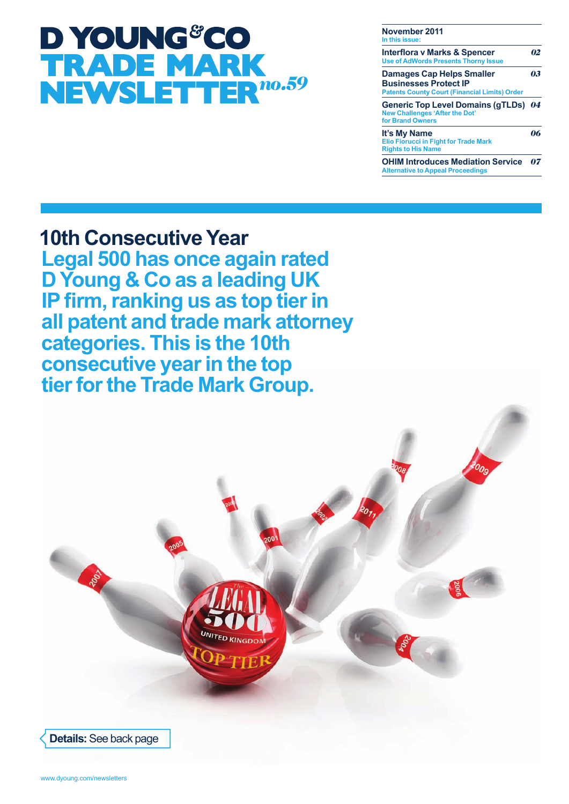# **D YOUNG&CO TRADE MARK NEWSLETTER**<sup>no.59</sup>

**November 2011** 

| In this issue:                                                                                                    |    |
|-------------------------------------------------------------------------------------------------------------------|----|
| Interflora v Marks & Spencer<br><b>Use of AdWords Presents Thorny Issue</b>                                       |    |
| Damages Cap Helps Smaller<br><b>Businesses Protect IP</b><br><b>Patents County Court (Financial Limits) Order</b> | 03 |
| Generic Top Level Domains (gTLDs) 04<br><b>New Challenges 'After the Dot'</b><br>for Brand Owners                 |    |
| It's My Name<br><b>Elio Fiorucci in Fight for Trade Mark</b><br><b>Rights to His Name</b>                         |    |
| <b>OHIM Introduces Mediation Service</b><br><b>Alternative to Appeal Proceedings</b>                              |    |

**10th Consecutive Year Legal 500 has once again rated D Young & Co as a leading UK IP firm, ranking us as top tier in all patent and trade mark attorney categories. This is the 10th consecutive year in the top tier for the Trade Mark Group.**

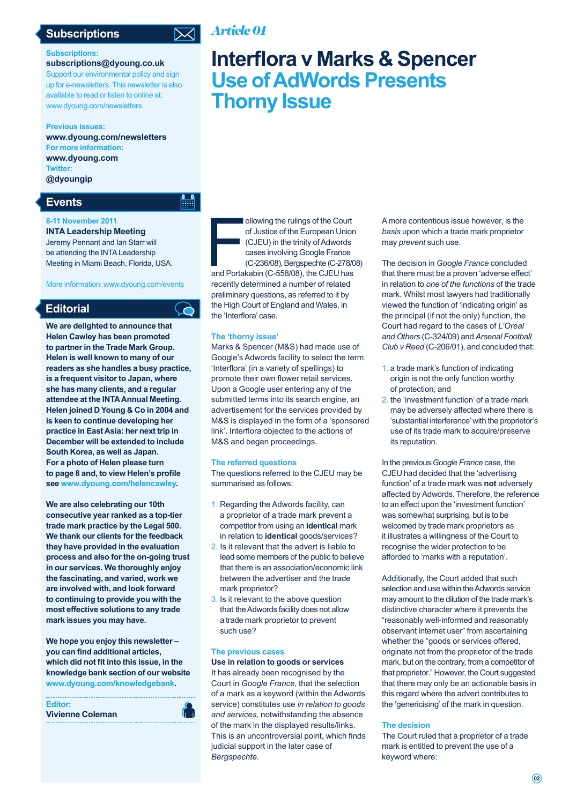### **Subscriptions**

#### **Subscriptions:**

**subscriptions@dyoung.co.uk**

Support our environmental policy and sign up for e-newsletters. This newsletter is also available to read or listen to online at: www.dyoung.com/newsletters.

**Previous issues: www.dyoung.com/newsletters For more information: www.dyoung.com Twitter: @dyoungip**

論

**8-11 November 2011 INTA Leadership Meeting** Jeremy Pennant and Ian Starr will be attending the INTA Leadership Meeting in Miami Beach, Florida, USA.

More information: www.dyoung.com/events

### **Editorial**

**Events**

**We are delighted to announce that Helen Cawley has been promoted to partner in the Trade Mark Group. Helen is well known to many of our readers as she handles a busy practice, is a frequent visitor to Japan, where she has many clients, and a regular attendee at the INTA Annual Meeting. Helen joined D Young & Co in 2004 and is keen to continue developing her practice in East Asia: her next trip in December will be extended to include South Korea, as well as Japan. For a photo of Helen please turn to page 8 and, to view Helen's profile see www.dyoung.com/helencawley.**

**We are also celebrating our 10th consecutive year ranked as a top-tier trade mark practice by the Legal 500. We thank our clients for the feedback they have provided in the evaluation process and also for the on-going trust in our services. We thoroughly enjoy the fascinating, and varied, work we are involved with, and look forward to continuing to provide you with the most effective solutions to any trade mark issues you may have.** 

**We hope you enjoy this newsletter – you can find additional articles, which did not fit into this issue, in the knowledge bank section of our website www.dyoung.com/knowledgebank.**

**Editor: Vivienne Coleman**

## *Article 01*

 $\mathsf{I}\mathsf{M}$ 

## **Interflora v Marks & Spencer Use of AdWords Presents Thorny Issue**

Indowing the rulings of the Court<br>
of Justice of the European Union<br>
(CJEU) in the trinity of Adwords<br>
cases involving Google France<br>
(C-236/08), Bergspechte (C-278/0<br>
and Portakabin (C-558/08), the CJEU has ollowing the rulings of the Court of Justice of the European Union (CJEU) in the trinity of Adwords cases involving Google France (C-236/08), Bergspechte (C-278/08) recently determined a number of related preliminary questions, as referred to it by the High Court of England and Wales, in the 'Interflora' case.

#### **The 'thorny issue'**

Marks & Spencer (M&S) had made use of Google's Adwords facility to select the term 'Interflora' (in a variety of spellings) to promote their own flower retail services. Upon a Google user entering any of the submitted terms into its search engine, an advertisement for the services provided by M&S is displayed in the form of a 'sponsored link'. Interflora objected to the actions of M&S and began proceedings.

#### **The referred questions**

The questions referred to the CJEU may be summarised as follows:

- 1. Regarding the Adwords facility, can a proprietor of a trade mark prevent a competitor from using an **identical** mark in relation to **identical** goods/services?
- 2. Is it relevant that the advert is liable to lead some members of the public to believe that there is an association/economic link between the advertiser and the trade mark proprietor?
- 3. Is it relevant to the above question that the Adwords facility does not allow a trade mark proprietor to prevent such use?

#### **The previous cases**

#### **Use in relation to goods or services**

It has already been recognised by the Court in *Google France*, that the selection of a mark as a keyword (within the Adwords service) constitutes use *in relation to goods and services*, notwithstanding the absence of the mark in the displayed results/links. This is an uncontroversial point, which finds judicial support in the later case of *Bergspechte*.

A more contentious issue however, is the *basis* upon which a trade mark proprietor may *prevent* such use.

The decision in *Google France* concluded that there must be a proven 'adverse effect' in relation to *one of the functions* of the trade mark. Whilst most lawyers had traditionally viewed the function of 'indicating origin' as the principal (if not the only) function, the Court had regard to the cases of *L'Oreal and Others* (C-324/09) and *Arsenal Football Club v Reed* (C-206/01), and concluded that:

- 1. a trade mark's function of indicating origin is not the only function worthy of protection; and
- 2. the 'investment function' of a trade mark may be adversely affected where there is 'substantial interference' with the proprietor's use of its trade mark to acquire/preserve its reputation.

In the previous *Google France* case, the CJEU had decided that the 'advertising function' of a trade mark was **not** adversely affected by Adwords. Therefore, the reference to an effect upon the 'investment function' was somewhat surprising, but is to be welcomed by trade mark proprietors as it illustrates a willingness of the Court to recognise the wider protection to be afforded to 'marks with a reputation'.

Additionally, the Court added that such selection and use within the Adwords service may amount to the dilution of the trade mark's distinctive character where it prevents the "reasonably well-informed and reasonably observant internet user" from ascertaining whether the "goods or services offered, originate not from the proprietor of the trade mark, but on the contrary, from a competitor of that proprietor." However, the Court suggested that there may only be an actionable basis in this regard where the advert contributes to the 'genericising' of the mark in question.

#### **The decision**

The Court ruled that a proprietor of a trade mark is entitled to prevent the use of a keyword where: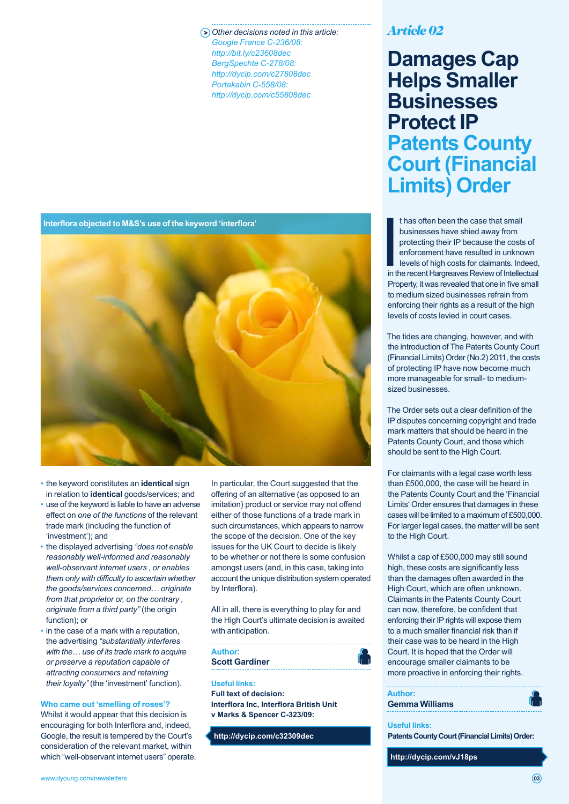*Other decisions noted in this article: Google France C-236/08: http://bit.ly/c23608dec BergSpechte C-278/08: http://dycip.com/c27808dec Portakabin C-558/08: http://dycip.com/c55808dec*



- the keyword constitutes an **identical** sign in relation to **identical** goods/services; and
- use of the keyword is liable to have an adverse effect on *one of the functions* of the relevant trade mark (including the function of 'investment'); and
- the displayed advertising *"does not enable reasonably well-informed and reasonably well-observant internet users , or enables them only with difficulty to ascertain whether the goods/services concerned… originate from that proprietor or, on the contrary , originate from a third party"* (the origin function); or
- in the case of a mark with a reputation, the advertising *"substantially interferes with the… use of its trade mark to acquire or preserve a reputation capable of attracting consumers and retaining their loyalty"* (the 'investment' function).

**Who came out 'smelling of roses'?** Whilst it would appear that this decision is encouraging for both Interflora and, indeed, Google, the result is tempered by the Court's consideration of the relevant market, within which "well-observant internet users" operate. In particular, the Court suggested that the offering of an alternative (as opposed to an imitation) product or service may not offend either of those functions of a trade mark in such circumstances, which appears to narrow the scope of the decision. One of the key issues for the UK Court to decide is likely to be whether or not there is some confusion amongst users (and, in this case, taking into account the unique distribution system operated by Interflora).

All in all, there is everything to play for and the High Court's ultimate decision is awaited with anticipation.

| <b>Author:</b>        |  |
|-----------------------|--|
| <b>Scott Gardiner</b> |  |

#### **Useful links:**

**Author:**

**Full text of decision: Interflora Inc, Interflora British Unit v Marks & Spencer C-323/09:** 

**http://dycip.com/c32309dec**

### *Article 02*

## **Damages Cap Helps Smaller Businesses Protect IP Patents County Court (Financial Limits) Order**

**I**<br>In the t has often been the case that small businesses have shied away from protecting their IP because the costs of enforcement have resulted in unknown levels of high costs for claimants. Indeed, in the recent Hargreaves Review of Intellectual Property, it was revealed that one in five small to medium sized businesses refrain from enforcing their rights as a result of the high levels of costs levied in court cases.

The tides are changing, however, and with the introduction of The Patents County Court (Financial Limits) Order (No.2) 2011, the costs of protecting IP have now become much more manageable for small- to mediumsized businesses.

The Order sets out a clear definition of the IP disputes concerning copyright and trade mark matters that should be heard in the Patents County Court, and those which should be sent to the High Court.

For claimants with a legal case worth less than £500,000, the case will be heard in the Patents County Court and the 'Financial Limits' Order ensures that damages in these cases will be limited to a maximum of £500,000. For larger legal cases, the matter will be sent to the High Court.

Whilst a cap of £500,000 may still sound high, these costs are significantly less than the damages often awarded in the High Court, which are often unknown. Claimants in the Patents County Court can now, therefore, be confident that enforcing their IP rights will expose them to a much smaller financial risk than if their case was to be heard in the High Court. It is hoped that the Order will encourage smaller claimants to be more proactive in enforcing their rights.

#### **Author: Gemma Williams**

**Useful links: Patents County Court (Financial Limits) Order:** 

**http://dycip.com/vJ18ps**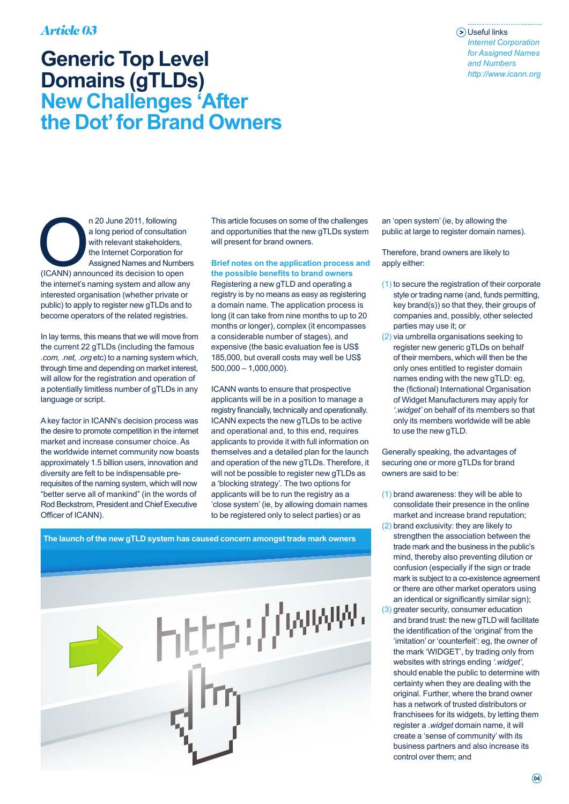## *Article 03*

Useful links *Internet Corporation for Assigned Names and Numbers http://www.icann.org*

## **Generic Top Level Domains (gTLDs) New Challenges 'After the Dot' for Brand Owners**

n 20 June 2011, following<br>
a long period of consultation<br>
with relevant stakeholders,<br>
the Internet Corporation for<br>
Assigned Names and Numbe<br>
(ICANN) announced its decision to open a long period of consultation with relevant stakeholders, the Internet Corporation for Assigned Names and Numbers the internet's naming system and allow any interested organisation (whether private or public) to apply to register new gTLDs and to become operators of the related registries.

In lay terms, this means that we will move from the current 22 gTLDs (including the famous *.com, .net, .org* etc) to a naming system which, through time and depending on market interest, will allow for the registration and operation of a potentially limitless number of gTLDs in any language or script.

A key factor in ICANN's decision process was the desire to promote competition in the internet market and increase consumer choice. As the worldwide internet community now boasts approximately 1.5 billion users, innovation and diversity are felt to be indispensable prerequisites of the naming system, which will now "better serve all of mankind" (in the words of Rod Beckstrom, President and Chief Executive Officer of ICANN).

This article focuses on some of the challenges and opportunities that the new gTLDs system will present for brand owners.

**Brief notes on the application process and the possible benefits to brand owners**  Registering a new gTLD and operating a registry is by no means as easy as registering a domain name. The application process is long (it can take from nine months to up to 20 months or longer), complex (it encompasses a considerable number of stages), and expensive (the basic evaluation fee is US\$ 185,000, but overall costs may well be US\$

500,000 – 1,000,000).

ICANN wants to ensure that prospective applicants will be in a position to manage a registry financially, technically and operationally. ICANN expects the new gTLDs to be active and operational and, to this end, requires applicants to provide it with full information on themselves and a detailed plan for the launch and operation of the new gTLDs. Therefore, it will not be possible to register new gTLDs as a 'blocking strategy'. The two options for applicants will be to run the registry as a 'close system' (ie, by allowing domain names to be registered only to select parties) or as

**The launch of the new gTLD system has caused concern amongst trade mark owners**http://www. an 'open system' (ie, by allowing the public at large to register domain names).

Therefore, brand owners are likely to apply either:

- (1) to secure the registration of their corporate style or trading name (and, funds permitting, key brand(s)) so that they, their groups of companies and, possibly, other selected parties may use it; or
- (2) via umbrella organisations seeking to register new generic gTLDs on behalf of their members, which will then be the only ones entitled to register domain names ending with the new gTLD: eg, the (fictional) International Organisation of Widget Manufacturers may apply for *'.widget'* on behalf of its members so that only its members worldwide will be able to use the new gTLD.

Generally speaking, the advantages of securing one or more gTLDs for brand owners are said to be:

- (1) brand awareness: they will be able to consolidate their presence in the online market and increase brand reputation;
- (2) brand exclusivity: they are likely to strengthen the association between the trade mark and the business in the public's mind, thereby also preventing dilution or confusion (especially if the sign or trade mark is subject to a co-existence agreement or there are other market operators using an identical or significantly similar sign);
- (3) greater security, consumer education and brand trust: the new gTLD will facilitate the identification of the 'original' from the 'imitation' or 'counterfeit': eg, the owner of the mark 'WIDGET', by trading only from websites with strings ending *'.widget'*, should enable the public to determine with certainty when they are dealing with the original. Further, where the brand owner has a network of trusted distributors or franchisees for its widgets, by letting them register a *.widget* domain name, it will create a 'sense of community' with its business partners and also increase its control over them; and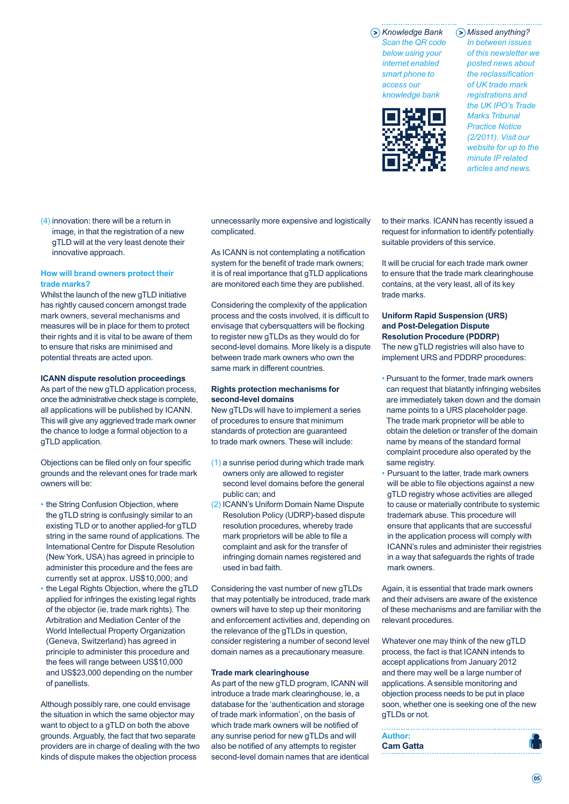*Knowledge Bank Scan the QR code below using your internet enabled smart phone to access our knowledge bank*



*Missed anything? In between issues of this newsletter we posted news about the reclassification of UK trade mark registrations and the UK IPO's Trade Marks Tribunal Practice Notice (2/2011). Visit our website for up to the minute IP related articles and news.*

(4) innovation: there will be a return in image, in that the registration of a new gTLD will at the very least denote their innovative approach.

#### **How will brand owners protect their trade marks?**

Whilst the launch of the new gTLD initiative has rightly caused concern amongst trade mark owners, several mechanisms and measures will be in place for them to protect their rights and it is vital to be aware of them to ensure that risks are minimised and potential threats are acted upon.

#### **ICANN dispute resolution proceedings**

As part of the new gTLD application process, once the administrative check stage is complete, all applications will be published by ICANN. This will give any aggrieved trade mark owner the chance to lodge a formal objection to a gTLD application.

Objections can be filed only on four specific grounds and the relevant ones for trade mark owners will be:

- the String Confusion Objection, where the gTLD string is confusingly similar to an existing TLD or to another applied-for gTLD string in the same round of applications. The International Centre for Dispute Resolution (New York, USA) has agreed in principle to administer this procedure and the fees are currently set at approx. US\$10,000; and
- the Legal Rights Objection, where the gTLD applied for infringes the existing legal rights of the objector (ie, trade mark rights). The Arbitration and Mediation Center of the World Intellectual Property Organization (Geneva, Switzerland) has agreed in principle to administer this procedure and the fees will range between US\$10,000 and US\$23,000 depending on the number of panellists.

Although possibly rare, one could envisage the situation in which the same objector may want to object to a gTLD on both the above grounds. Arguably, the fact that two separate providers are in charge of dealing with the two kinds of dispute makes the objection process

unnecessarily more expensive and logistically complicated.

As ICANN is not contemplating a notification system for the benefit of trade mark owners; it is of real importance that gTLD applications are monitored each time they are published.

Considering the complexity of the application process and the costs involved, it is difficult to envisage that cybersquatters will be flocking to register new gTLDs as they would do for second-level domains. More likely is a dispute between trade mark owners who own the same mark in different countries.

#### **Rights protection mechanisms for second-level domains**

New gTLDs will have to implement a series of procedures to ensure that minimum standards of protection are guaranteed to trade mark owners. These will include:

- (1) a sunrise period during which trade mark owners only are allowed to register second level domains before the general public can; and
- (2) ICANN's Uniform Domain Name Dispute Resolution Policy (UDRP)-based dispute resolution procedures, whereby trade mark proprietors will be able to file a complaint and ask for the transfer of infringing domain names registered and used in bad faith.

Considering the vast number of new gTLDs that may potentially be introduced, trade mark owners will have to step up their monitoring and enforcement activities and, depending on the relevance of the gTLDs in question, consider registering a number of second level domain names as a precautionary measure.

#### **Trade mark clearinghouse**

As part of the new gTLD program, ICANN will introduce a trade mark clearinghouse, ie, a database for the 'authentication and storage of trade mark information', on the basis of which trade mark owners will be notified of any sunrise period for new gTLDs and will also be notified of any attempts to register second-level domain names that are identical to their marks. ICANN has recently issued a request for information to identify potentially suitable providers of this service.

It will be crucial for each trade mark owner to ensure that the trade mark clearinghouse contains, at the very least, all of its key trade marks.

#### **Uniform Rapid Suspension (URS) and Post-Delegation Dispute Resolution Procedure (PDDRP)**

The new gTLD registries will also have to implement URS and PDDRP procedures:

- Pursuant to the former, trade mark owners can request that blatantly infringing websites are immediately taken down and the domain name points to a URS placeholder page. The trade mark proprietor will be able to obtain the deletion or transfer of the domain name by means of the standard formal complaint procedure also operated by the same registry.
- Pursuant to the latter, trade mark owners will be able to file objections against a new gTLD registry whose activities are alleged to cause or materially contribute to systemic trademark abuse. This procedure will ensure that applicants that are successful in the application process will comply with ICANN's rules and administer their registries in a way that safeguards the rights of trade mark owners.

Again, it is essential that trade mark owners and their advisers are aware of the existence of these mechanisms and are familiar with the relevant procedures.

Whatever one may think of the new gTLD process, the fact is that ICANN intends to accept applications from January 2012 and there may well be a large number of applications. A sensible monitoring and objection process needs to be put in place soon, whether one is seeking one of the new gTLDs or not.

| <b>Author:</b>   |  |
|------------------|--|
| <b>Cam Gatta</b> |  |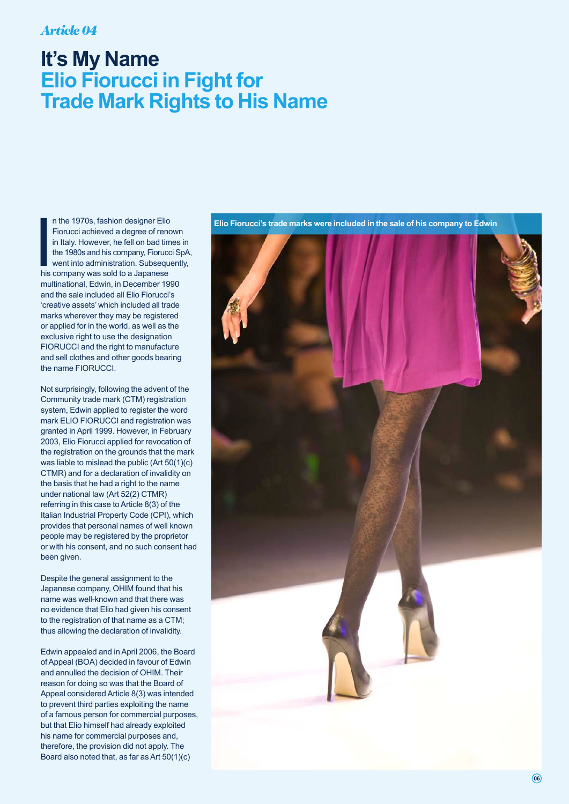## *Article 04*

## **It's My Name Elio Fiorucci in Fight for Trade Mark Rights to His Name**

**I**<br>I<br>I his n the 1970s, fashion designer Elio Fiorucci achieved a degree of renown in Italy. However, he fell on bad times in the 1980s and his company, Fiorucci SpA, went into administration. Subsequently, his company was sold to a Japanese multinational, Edwin, in December 1990 and the sale included all Elio Fiorucci's 'creative assets' which included all trade marks wherever they may be registered or applied for in the world, as well as the exclusive right to use the designation FIORUCCI and the right to manufacture and sell clothes and other goods bearing the name FIORUCCI.

Not surprisingly, following the advent of the Community trade mark (CTM) registration system, Edwin applied to register the word mark ELIO FIORUCCI and registration was granted in April 1999. However, in February 2003, Elio Fiorucci applied for revocation of the registration on the grounds that the mark was liable to mislead the public (Art 50(1)(c) CTMR) and for a declaration of invalidity on the basis that he had a right to the name under national law (Art 52(2) CTMR) referring in this case to Article 8(3) of the Italian Industrial Property Code (CPI), which provides that personal names of well known people may be registered by the proprietor or with his consent, and no such consent had been given.

Despite the general assignment to the Japanese company, OHIM found that his name was well-known and that there was no evidence that Elio had given his consent to the registration of that name as a CTM; thus allowing the declaration of invalidity.

Edwin appealed and in April 2006, the Board of Appeal (BOA) decided in favour of Edwin and annulled the decision of OHIM. Their reason for doing so was that the Board of Appeal considered Article 8(3) was intended to prevent third parties exploiting the name of a famous person for commercial purposes, but that Elio himself had already exploited his name for commercial purposes and, therefore, the provision did not apply. The Board also noted that, as far as Art 50(1)(c)

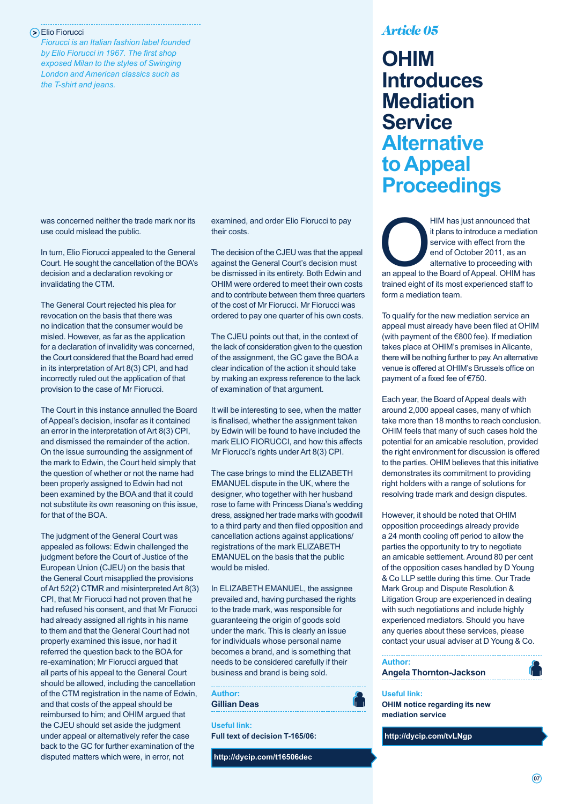#### Elio Fiorucci

*Fiorucci is an Italian fashion label founded by Elio Fiorucci in 1967. The first shop exposed Milan to the styles of Swinging London and American classics such as the T-shirt and jeans.*

was concerned neither the trade mark nor its use could mislead the public.

In turn, Elio Fiorucci appealed to the General Court. He sought the cancellation of the BOA's decision and a declaration revoking or invalidating the CTM.

The General Court rejected his plea for revocation on the basis that there was no indication that the consumer would be misled. However, as far as the application for a declaration of invalidity was concerned, the Court considered that the Board had erred in its interpretation of Art 8(3) CPI, and had incorrectly ruled out the application of that provision to the case of Mr Fiorucci.

The Court in this instance annulled the Board of Appeal's decision, insofar as it contained an error in the interpretation of Art 8(3) CPI, and dismissed the remainder of the action. On the issue surrounding the assignment of the mark to Edwin, the Court held simply that the question of whether or not the name had been properly assigned to Edwin had not been examined by the BOA and that it could not substitute its own reasoning on this issue, for that of the BOA.

The judgment of the General Court was appealed as follows: Edwin challenged the judgment before the Court of Justice of the European Union (CJEU) on the basis that the General Court misapplied the provisions of Art 52(2) CTMR and misinterpreted Art 8(3) CPI, that Mr Fiorucci had not proven that he had refused his consent, and that Mr Fiorucci had already assigned all rights in his name to them and that the General Court had not properly examined this issue, nor had it referred the question back to the BOA for re-examination; Mr Fiorucci argued that all parts of his appeal to the General Court should be allowed, including the cancellation of the CTM registration in the name of Edwin, and that costs of the appeal should be reimbursed to him; and OHIM argued that the CJEU should set aside the judgment under appeal or alternatively refer the case back to the GC for further examination of the disputed matters which were, in error, not

examined, and order Elio Fiorucci to pay their costs.

The decision of the CJEU was that the appeal against the General Court's decision must be dismissed in its entirety. Both Edwin and OHIM were ordered to meet their own costs and to contribute between them three quarters of the cost of Mr Fiorucci. Mr Fiorucci was ordered to pay one quarter of his own costs.

The CJEU points out that, in the context of the lack of consideration given to the question of the assignment, the GC gave the BOA a clear indication of the action it should take by making an express reference to the lack of examination of that argument.

It will be interesting to see, when the matter is finalised, whether the assignment taken by Edwin will be found to have included the mark ELIO FIORUCCI, and how this affects Mr Fiorucci's rights under Art 8(3) CPI.

The case brings to mind the ELIZABETH EMANUEL dispute in the UK, where the designer, who together with her husband rose to fame with Princess Diana's wedding dress, assigned her trade marks with goodwill to a third party and then filed opposition and cancellation actions against applications/ registrations of the mark ELIZABETH EMANUEL on the basis that the public would be misled.

In ELIZABETH EMANUEL, the assignee prevailed and, having purchased the rights to the trade mark, was responsible for guaranteeing the origin of goods sold under the mark. This is clearly an issue for individuals whose personal name becomes a brand, and is something that needs to be considered carefully if their business and brand is being sold.

#### **Author: Gillian Deas**

**Useful link: Full text of decision T-165/06:** 

**http://dycip.com/t16506dec**

## *Article 05*

## **OHIM Introduces Mediation Service Alternative to Appeal Proceedings**

HIM has just announced that<br>
it plans to introduce a mediation<br>
service with effect from the<br>
end of October 2011, as an<br>
alternative to proceeding with<br>
an appeal to the Board of Appeal. OHIM has it plans to introduce a mediation service with effect from the end of October 2011, as an alternative to proceeding with trained eight of its most experienced staff to form a mediation team.

To qualify for the new mediation service an appeal must already have been filed at OHIM (with payment of the €800 fee). If mediation takes place at OHIM's premises in Alicante, there will be nothing further to pay. An alternative venue is offered at OHIM's Brussels office on payment of a fixed fee of €750.

Each year, the Board of Appeal deals with around 2,000 appeal cases, many of which take more than 18 months to reach conclusion. OHIM feels that many of such cases hold the potential for an amicable resolution, provided the right environment for discussion is offered to the parties. OHIM believes that this initiative demonstrates its commitment to providing right holders with a range of solutions for resolving trade mark and design disputes.

However, it should be noted that OHIM opposition proceedings already provide a 24 month cooling off period to allow the parties the opportunity to try to negotiate an amicable settlement. Around 80 per cent of the opposition cases handled by D Young & Co LLP settle during this time. Our Trade Mark Group and Dispute Resolution & Litigation Group are experienced in dealing with such negotiations and include highly experienced mediators. Should you have any queries about these services, please contact your usual adviser at D Young & Co.

### **Author: Angela Thornton-Jackson**

#### **Useful link: OHIM notice regarding its new mediation service**

#### **http://dycip.com/tvLNgp**